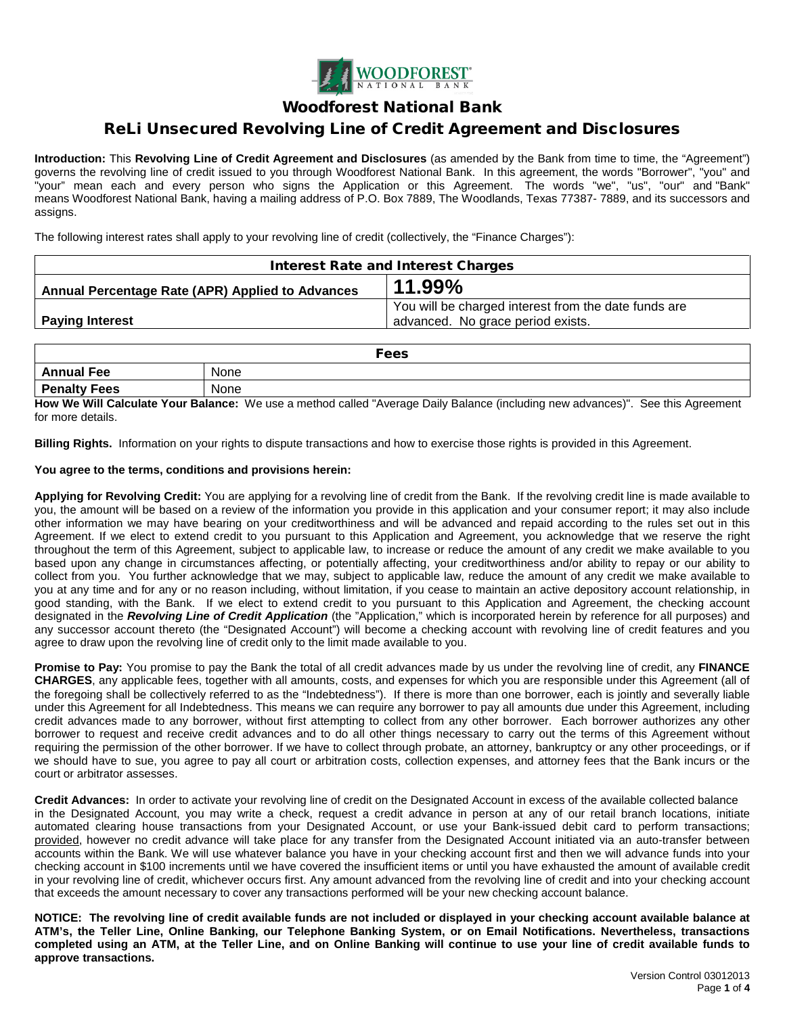

## Woodforest National Bank

# ReLi Unsecured Revolving Line of Credit Agreement and Disclosures

**Introduction:** This **Revolving Line of Credit Agreement and Disclosures** (as amended by the Bank from time to time, the "Agreement") governs the revolving line of credit issued to you through Woodforest National Bank. In this agreement, the words "Borrower", "you" and "your" mean each and every person who signs the Application or this Agreement. The words "we", "us", "our" and "Bank" means Woodforest National Bank, having a mailing address of P.O. Box 7889, The Woodlands, Texas 77387- 7889, and its successors and assigns.

The following interest rates shall apply to your revolving line of credit (collectively, the "Finance Charges"):

| <b>Interest Rate and Interest Charges</b>        |                                                      |  |
|--------------------------------------------------|------------------------------------------------------|--|
| Annual Percentage Rate (APR) Applied to Advances | 11.99%                                               |  |
|                                                  | You will be charged interest from the date funds are |  |
| <b>Paying Interest</b>                           | advanced. No grace period exists.                    |  |

| Fees                |      |  |
|---------------------|------|--|
| <b>Annual Fee</b>   | None |  |
| <b>Penalty Fees</b> | None |  |

**How We Will Calculate Your Balance:** We use a method called "Average Daily Balance (including new advances)". See this Agreement for more details.

**Billing Rights.** Information on your rights to dispute transactions and how to exercise those rights is provided in this Agreement.

### **You agree to the terms, conditions and provisions herein:**

**Applying for Revolving Credit:** You are applying for a revolving line of credit from the Bank. If the revolving credit line is made available to you, the amount will be based on a review of the information you provide in this application and your consumer report; it may also include other information we may have bearing on your creditworthiness and will be advanced and repaid according to the rules set out in this Agreement. If we elect to extend credit to you pursuant to this Application and Agreement, you acknowledge that we reserve the right throughout the term of this Agreement, subject to applicable law, to increase or reduce the amount of any credit we make available to you based upon any change in circumstances affecting, or potentially affecting, your creditworthiness and/or ability to repay or our ability to collect from you. You further acknowledge that we may, subject to applicable law, reduce the amount of any credit we make available to you at any time and for any or no reason including, without limitation, if you cease to maintain an active depository account relationship, in good standing, with the Bank. If we elect to extend credit to you pursuant to this Application and Agreement, the checking account designated in the *Revolving Line of Credit Application* (the "Application," which is incorporated herein by reference for all purposes) and any successor account thereto (the "Designated Account") will become a checking account with revolving line of credit features and you agree to draw upon the revolving line of credit only to the limit made available to you.

**Promise to Pay:** You promise to pay the Bank the total of all credit advances made by us under the revolving line of credit, any **FINANCE CHARGES**, any applicable fees, together with all amounts, costs, and expenses for which you are responsible under this Agreement (all of the foregoing shall be collectively referred to as the "Indebtedness"). If there is more than one borrower, each is jointly and severally liable under this Agreement for all Indebtedness. This means we can require any borrower to pay all amounts due under this Agreement, including credit advances made to any borrower, without first attempting to collect from any other borrower. Each borrower authorizes any other borrower to request and receive credit advances and to do all other things necessary to carry out the terms of this Agreement without requiring the permission of the other borrower. If we have to collect through probate, an attorney, bankruptcy or any other proceedings, or if we should have to sue, you agree to pay all court or arbitration costs, collection expenses, and attorney fees that the Bank incurs or the court or arbitrator assesses.

**Credit Advances:** In order to activate your revolving line of credit on the Designated Account in excess of the available collected balance in the Designated Account, you may write a check, request a credit advance in person at any of our retail branch locations, initiate automated clearing house transactions from your Designated Account, or use your Bank-issued debit card to perform transactions; provided, however no credit advance will take place for any transfer from the Designated Account initiated via an auto-transfer between accounts within the Bank. We will use whatever balance you have in your checking account first and then we will advance funds into your checking account in \$100 increments until we have covered the insufficient items or until you have exhausted the amount of available credit in your revolving line of credit, whichever occurs first. Any amount advanced from the revolving line of credit and into your checking account that exceeds the amount necessary to cover any transactions performed will be your new checking account balance.

**NOTICE: The revolving line of credit available funds are not included or displayed in your checking account available balance at ATM's, the Teller Line, Online Banking, our Telephone Banking System, or on Email Notifications. Nevertheless, transactions completed using an ATM, at the Teller Line, and on Online Banking will continue to use your line of credit available funds to approve transactions.**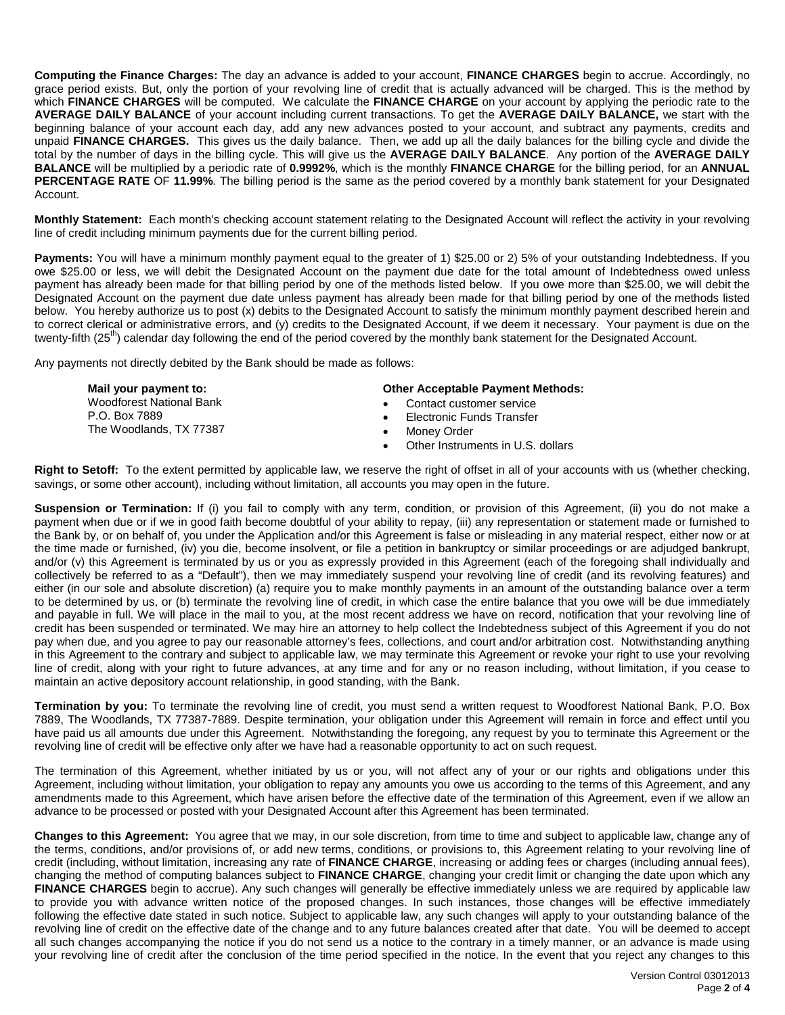**Computing the Finance Charges:** The day an advance is added to your account, **FINANCE CHARGES** begin to accrue. Accordingly, no grace period exists. But, only the portion of your revolving line of credit that is actually advanced will be charged. This is the method by which **FINANCE CHARGES** will be computed. We calculate the **FINANCE CHARGE** on your account by applying the periodic rate to the **AVERAGE DAILY BALANCE** of your account including current transactions. To get the **AVERAGE DAILY BALANCE,** we start with the beginning balance of your account each day, add any new advances posted to your account, and subtract any payments, credits and unpaid **FINANCE CHARGES.** This gives us the daily balance. Then, we add up all the daily balances for the billing cycle and divide the total by the number of days in the billing cycle. This will give us the **AVERAGE DAILY BALANCE**. Any portion of the **AVERAGE DAILY BALANCE** will be multiplied by a periodic rate of **0.9992%**, which is the monthly **FINANCE CHARGE** for the billing period, for an **ANNUAL PERCENTAGE RATE** OF **11.99%**. The billing period is the same as the period covered by a monthly bank statement for your Designated Account.

**Monthly Statement:** Each month's checking account statement relating to the Designated Account will reflect the activity in your revolving line of credit including minimum payments due for the current billing period.

**Payments:** You will have a minimum monthly payment equal to the greater of 1) \$25.00 or 2) 5% of your outstanding Indebtedness. If you owe \$25.00 or less, we will debit the Designated Account on the payment due date for the total amount of Indebtedness owed unless payment has already been made for that billing period by one of the methods listed below. If you owe more than \$25.00, we will debit the Designated Account on the payment due date unless payment has already been made for that billing period by one of the methods listed below. You hereby authorize us to post (x) debits to the Designated Account to satisfy the minimum monthly payment described herein and to correct clerical or administrative errors, and (y) credits to the Designated Account, if we deem it necessary. Your payment is due on the twenty-fifth (25<sup>th</sup>) calendar day following the end of the period covered by the monthly bank statement for the Designated Account.

Any payments not directly debited by the Bank should be made as follows:

| Mail your payment to:                    | <b>Other Acceptable Payment Methods:</b> |
|------------------------------------------|------------------------------------------|
| <b>Woodforest National Bank</b>          | Contact customer service                 |
| P.O. Box 7889<br>The Woodlands, TX 77387 | Electronic Funds Transfer                |
|                                          | Monev Order                              |
|                                          | Other Instruments in U.S. dollars        |

**Right to Setoff:** To the extent permitted by applicable law, we reserve the right of offset in all of your accounts with us (whether checking, savings, or some other account), including without limitation, all accounts you may open in the future.

Suspension or Termination: If (i) you fail to comply with any term, condition, or provision of this Agreement, (ii) you do not make a payment when due or if we in good faith become doubtful of your ability to repay, (iii) any representation or statement made or furnished to the Bank by, or on behalf of, you under the Application and/or this Agreement is false or misleading in any material respect, either now or at the time made or furnished, (iv) you die, become insolvent, or file a petition in bankruptcy or similar proceedings or are adjudged bankrupt, and/or (v) this Agreement is terminated by us or you as expressly provided in this Agreement (each of the foregoing shall individually and collectively be referred to as a "Default"), then we may immediately suspend your revolving line of credit (and its revolving features) and either (in our sole and absolute discretion) (a) require you to make monthly payments in an amount of the outstanding balance over a term to be determined by us, or (b) terminate the revolving line of credit, in which case the entire balance that you owe will be due immediately and payable in full. We will place in the mail to you, at the most recent address we have on record, notification that your revolving line of credit has been suspended or terminated. We may hire an attorney to help collect the Indebtedness subject of this Agreement if you do not pay when due, and you agree to pay our reasonable attorney's fees, collections, and court and/or arbitration cost. Notwithstanding anything in this Agreement to the contrary and subject to applicable law, we may terminate this Agreement or revoke your right to use your revolving line of credit, along with your right to future advances, at any time and for any or no reason including, without limitation, if you cease to maintain an active depository account relationship, in good standing, with the Bank.

**Termination by you:** To terminate the revolving line of credit, you must send a written request to Woodforest National Bank, P.O. Box 7889, The Woodlands, TX 77387-7889. Despite termination, your obligation under this Agreement will remain in force and effect until you have paid us all amounts due under this Agreement. Notwithstanding the foregoing, any request by you to terminate this Agreement or the revolving line of credit will be effective only after we have had a reasonable opportunity to act on such request.

The termination of this Agreement, whether initiated by us or you, will not affect any of your or our rights and obligations under this Agreement, including without limitation, your obligation to repay any amounts you owe us according to the terms of this Agreement, and any amendments made to this Agreement, which have arisen before the effective date of the termination of this Agreement, even if we allow an advance to be processed or posted with your Designated Account after this Agreement has been terminated.

**Changes to this Agreement:** You agree that we may, in our sole discretion, from time to time and subject to applicable law, change any of the terms, conditions, and/or provisions of, or add new terms, conditions, or provisions to, this Agreement relating to your revolving line of credit (including, without limitation, increasing any rate of **FINANCE CHARGE**, increasing or adding fees or charges (including annual fees), changing the method of computing balances subject to **FINANCE CHARGE**, changing your credit limit or changing the date upon which any **FINANCE CHARGES** begin to accrue). Any such changes will generally be effective immediately unless we are required by applicable law to provide you with advance written notice of the proposed changes. In such instances, those changes will be effective immediately following the effective date stated in such notice. Subject to applicable law, any such changes will apply to your outstanding balance of the revolving line of credit on the effective date of the change and to any future balances created after that date. You will be deemed to accept all such changes accompanying the notice if you do not send us a notice to the contrary in a timely manner, or an advance is made using your revolving line of credit after the conclusion of the time period specified in the notice. In the event that you reject any changes to this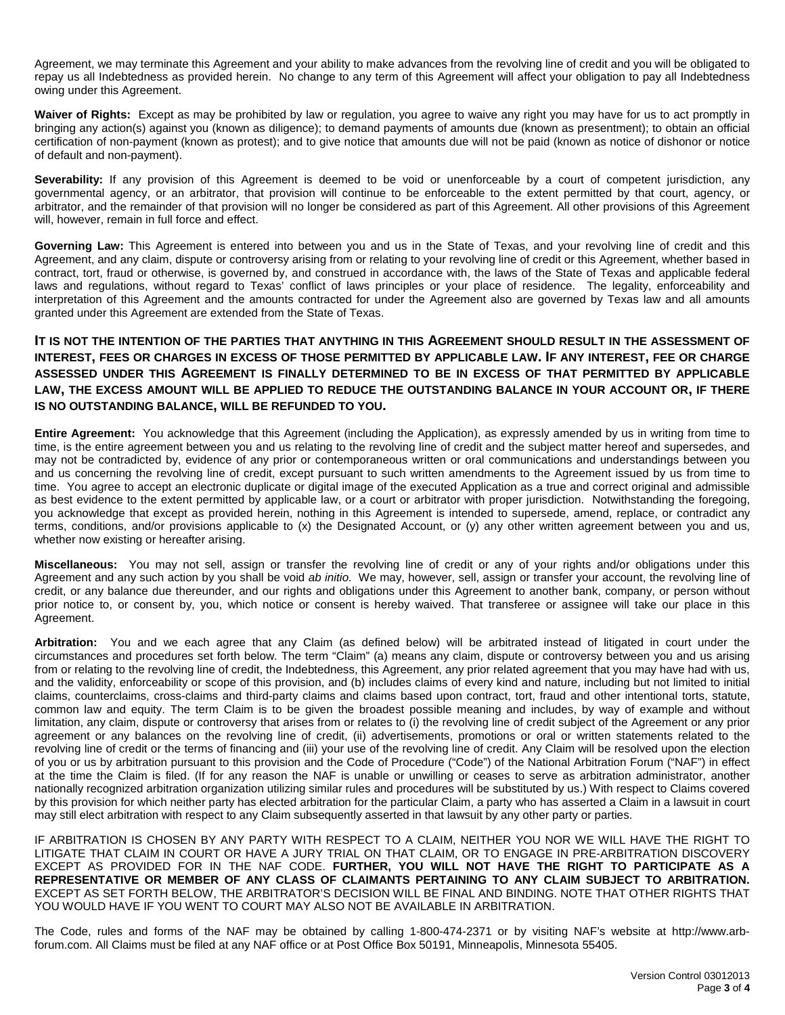Agreement, we may terminate this Agreement and your ability to make advances from the revolving line of credit and you will be obligated to repay us all Indebtedness as provided herein. No change to any term of this Agreement will affect your obligation to pay all Indebtedness owing under this Agreement.

**Waiver of Rights:** Except as may be prohibited by law or regulation, you agree to waive any right you may have for us to act promptly in bringing any action(s) against you (known as diligence); to demand payments of amounts due (known as presentment); to obtain an official certification of non-payment (known as protest); and to give notice that amounts due will not be paid (known as notice of dishonor or notice of default and non-payment).

Severability: If any provision of this Agreement is deemed to be void or unenforceable by a court of competent jurisdiction, any governmental agency, or an arbitrator, that provision will continue to be enforceable to the extent permitted by that court, agency, or arbitrator, and the remainder of that provision will no longer be considered as part of this Agreement. All other provisions of this Agreement will, however, remain in full force and effect.

**Governing Law:** This Agreement is entered into between you and us in the State of Texas, and your revolving line of credit and this Agreement, and any claim, dispute or controversy arising from or relating to your revolving line of credit or this Agreement, whether based in contract, tort, fraud or otherwise, is governed by, and construed in accordance with, the laws of the State of Texas and applicable federal laws and regulations, without regard to Texas' conflict of laws principles or your place of residence. The legality, enforceability and interpretation of this Agreement and the amounts contracted for under the Agreement also are governed by Texas law and all amounts granted under this Agreement are extended from the State of Texas.

### **IT IS NOT THE INTENTION OF THE PARTIES THAT ANYTHING IN THIS AGREEMENT SHOULD RESULT IN THE ASSESSMENT OF INTEREST, FEES OR CHARGES IN EXCESS OF THOSE PERMITTED BY APPLICABLE LAW. IF ANY INTEREST, FEE OR CHARGE ASSESSED UNDER THIS AGREEMENT IS FINALLY DETERMINED TO BE IN EXCESS OF THAT PERMITTED BY APPLICABLE LAW, THE EXCESS AMOUNT WILL BE APPLIED TO REDUCE THE OUTSTANDING BALANCE IN YOUR ACCOUNT OR, IF THERE IS NO OUTSTANDING BALANCE, WILL BE REFUNDED TO YOU.**

**Entire Agreement:** You acknowledge that this Agreement (including the Application), as expressly amended by us in writing from time to time, is the entire agreement between you and us relating to the revolving line of credit and the subject matter hereof and supersedes, and may not be contradicted by, evidence of any prior or contemporaneous written or oral communications and understandings between you and us concerning the revolving line of credit, except pursuant to such written amendments to the Agreement issued by us from time to time. You agree to accept an electronic duplicate or digital image of the executed Application as a true and correct original and admissible as best evidence to the extent permitted by applicable law, or a court or arbitrator with proper jurisdiction. Notwithstanding the foregoing, you acknowledge that except as provided herein, nothing in this Agreement is intended to supersede, amend, replace, or contradict any terms, conditions, and/or provisions applicable to (x) the Designated Account, or (y) any other written agreement between you and us, whether now existing or hereafter arising.

**Miscellaneous:** You may not sell, assign or transfer the revolving line of credit or any of your rights and/or obligations under this Agreement and any such action by you shall be void *ab initio*. We may, however, sell, assign or transfer your account, the revolving line of credit, or any balance due thereunder, and our rights and obligations under this Agreement to another bank, company, or person without prior notice to, or consent by, you, which notice or consent is hereby waived. That transferee or assignee will take our place in this Agreement.

**Arbitration:** You and we each agree that any Claim (as defined below) will be arbitrated instead of litigated in court under the circumstances and procedures set forth below. The term "Claim" (a) means any claim, dispute or controversy between you and us arising from or relating to the revolving line of credit, the Indebtedness, this Agreement, any prior related agreement that you may have had with us, and the validity, enforceability or scope of this provision, and (b) includes claims of every kind and nature, including but not limited to initial claims, counterclaims, cross-claims and third-party claims and claims based upon contract, tort, fraud and other intentional torts, statute, common law and equity. The term Claim is to be given the broadest possible meaning and includes, by way of example and without limitation, any claim, dispute or controversy that arises from or relates to (i) the revolving line of credit subject of the Agreement or any prior agreement or any balances on the revolving line of credit, (ii) advertisements, promotions or oral or written statements related to the revolving line of credit or the terms of financing and (iii) your use of the revolving line of credit. Any Claim will be resolved upon the election of you or us by arbitration pursuant to this provision and the Code of Procedure ("Code") of the National Arbitration Forum ("NAF") in effect at the time the Claim is filed. (If for any reason the NAF is unable or unwilling or ceases to serve as arbitration administrator, another nationally recognized arbitration organization utilizing similar rules and procedures will be substituted by us.) With respect to Claims covered by this provision for which neither party has elected arbitration for the particular Claim, a party who has asserted a Claim in a lawsuit in court may still elect arbitration with respect to any Claim subsequently asserted in that lawsuit by any other party or parties.

IF ARBITRATION IS CHOSEN BY ANY PARTY WITH RESPECT TO A CLAIM, NEITHER YOU NOR WE WILL HAVE THE RIGHT TO LITIGATE THAT CLAIM IN COURT OR HAVE A JURY TRIAL ON THAT CLAIM, OR TO ENGAGE IN PRE-ARBITRATION DISCOVERY EXCEPT AS PROVIDED FOR IN THE NAF CODE. **FURTHER, YOU WILL NOT HAVE THE RIGHT TO PARTICIPATE AS A REPRESENTATIVE OR MEMBER OF ANY CLASS OF CLAIMANTS PERTAINING TO ANY CLAIM SUBJECT TO ARBITRATION.** EXCEPT AS SET FORTH BELOW, THE ARBITRATOR'S DECISION WILL BE FINAL AND BINDING. NOTE THAT OTHER RIGHTS THAT YOU WOULD HAVE IF YOU WENT TO COURT MAY ALSO NOT BE AVAILABLE IN ARBITRATION.

The Code, rules and forms of the NAF may be obtained by calling 1-800-474-2371 or by visiting NAF's website at http://www.arbforum.com. All Claims must be filed at any NAF office or at Post Office Box 50191, Minneapolis, Minnesota 55405.